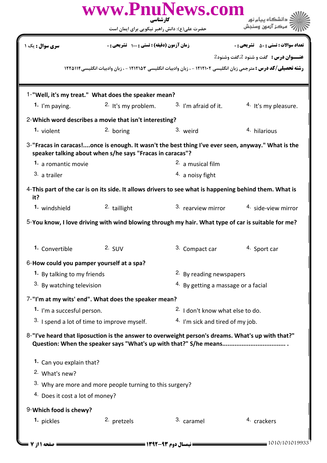|                                            | www.PnuNews.com<br>كارشناسي                                                                                                                                     |                                                |                                              |  |  |
|--------------------------------------------|-----------------------------------------------------------------------------------------------------------------------------------------------------------------|------------------------------------------------|----------------------------------------------|--|--|
|                                            | حضرت علی(ع): دانش راهبر نیکویی برای ایمان است                                                                                                                   |                                                |                                              |  |  |
| سری سوال : یک ۱                            | زمان آزمون (دقيقه) : تستى : 100 تشريحي : 0                                                                                                                      |                                                | <b>تعداد سوالات : تستي : 50 ٪ تشريحي : 0</b> |  |  |
|                                            |                                                                                                                                                                 |                                                | <b>عنــوان درس :</b> گفت و شنود 2،گفت وشنود2 |  |  |
|                                            | <b>رشته تحصیلی/کد درس :</b> مترجمی زبان انگلیسی ۱۲۱۲۱۰۲ - ، زبان وادبیات انگلیسی ۱۲۱۲۱۵۳ - ، زبان وادبیات انگلیسی1۲۲۵۱۱۴                                        |                                                |                                              |  |  |
|                                            | 1-"Well, it's my treat." What does the speaker mean?                                                                                                            |                                                |                                              |  |  |
| 1. I'm paying.                             | <sup>2.</sup> It's my problem.                                                                                                                                  | <sup>3.</sup> I'm afraid of it.                | <sup>4.</sup> It's my pleasure.              |  |  |
|                                            | 2-Which word describes a movie that isn't interesting?                                                                                                          |                                                |                                              |  |  |
| 1. <sub>violent</sub>                      | 2. boring                                                                                                                                                       | 3. weird                                       | 4. hilarious                                 |  |  |
|                                            | 3-"Fracas in caracas!once is enough. It wasn't the best thing I've ever seen, anyway." What is the<br>speaker talking about when s/he says "Fracas in caracas"? |                                                |                                              |  |  |
| 1. a romantic movie                        |                                                                                                                                                                 | <sup>2.</sup> a musical film                   |                                              |  |  |
| 3. a trailer                               |                                                                                                                                                                 | $4.$ a noisy fight                             |                                              |  |  |
| it?                                        | 4-This part of the car is on its side. It allows drivers to see what is happening behind them. What is                                                          |                                                |                                              |  |  |
| 1. windshield                              | 2. taillight                                                                                                                                                    | 3. rearview mirror                             | <sup>4.</sup> side-view mirror               |  |  |
|                                            | 5-You know, I love driving with wind blowing through my hair. What type of car is suitable for me?                                                              |                                                |                                              |  |  |
| 1. Convertible                             | $2.$ SUV                                                                                                                                                        | 3. Compact car                                 | 4. Sport car                                 |  |  |
| 6-How could you pamper yourself at a spa?  |                                                                                                                                                                 |                                                |                                              |  |  |
| 1. By talking to my friends                |                                                                                                                                                                 | <sup>2</sup> . By reading newspapers           |                                              |  |  |
| 3. By watching television                  |                                                                                                                                                                 | <sup>4.</sup> By getting a massage or a facial |                                              |  |  |
|                                            | 7-"I'm at my wits' end". What does the speaker mean?                                                                                                            |                                                |                                              |  |  |
| 1. I'm a succesful person.                 |                                                                                                                                                                 | <sup>2.</sup> I don't know what else to do.    |                                              |  |  |
|                                            | 3. I spend a lot of time to improve myself.                                                                                                                     | <sup>4.</sup> I'm sick and tired of my job.    |                                              |  |  |
|                                            | 8-"I've heard that liposuction is the answer to overweight person's dreams. What's up with that?"                                                               |                                                |                                              |  |  |
| 1. Can you explain that?                   |                                                                                                                                                                 |                                                |                                              |  |  |
| <sup>2.</sup> What's new?                  |                                                                                                                                                                 |                                                |                                              |  |  |
|                                            | <sup>3.</sup> Why are more and more people turning to this surgery?                                                                                             |                                                |                                              |  |  |
| <sup>4.</sup> Does it cost a lot of money? |                                                                                                                                                                 |                                                |                                              |  |  |
| 9-Which food is chewy?                     |                                                                                                                                                                 |                                                |                                              |  |  |
| 1. pickles                                 | 2. pretzels                                                                                                                                                     | <sup>3.</sup> caramel                          | 4. crackers                                  |  |  |
| صفحه 11; 7 =                               |                                                                                                                                                                 |                                                | $= 1010/101019933$                           |  |  |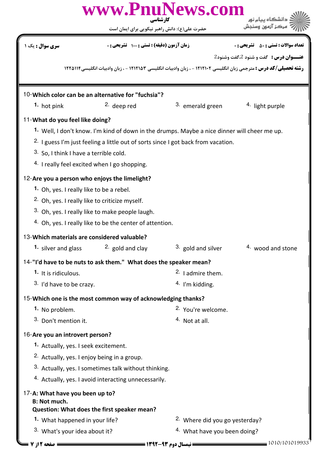|                                                                                                                         | www.PnuNews.com<br>کارشناسی                                                                                              |                                           |                                              |  |
|-------------------------------------------------------------------------------------------------------------------------|--------------------------------------------------------------------------------------------------------------------------|-------------------------------------------|----------------------------------------------|--|
|                                                                                                                         | حضرت علی(ع): دانش راهبر نیکویی برای ایمان است                                                                            |                                           |                                              |  |
| <mark>سری سوال :</mark> یک ۱                                                                                            | زمان آزمون (دقیقه) : تستی : ۱۰۰٪ تشریحی : ۰                                                                              |                                           | <b>تعداد سوالات : تستي : 50 ٪ تشريحي : 0</b> |  |
|                                                                                                                         |                                                                                                                          |                                           | <b>عنــوان درس :</b> گفت و شنود 2،گفت وشنود2 |  |
|                                                                                                                         | <b>رشته تحصیلی/کد درس :</b> مترجمی زبان انگلیسی ۱۲۱۲۱۰۲ - ، زبان وادبیات انگلیسی ۱۲۱۲۱۵۳ - ، زبان وادبیات انگلیسی1۲۲۵۱۱۴ |                                           |                                              |  |
|                                                                                                                         | 10-Which color can be an alternative for "fuchsia"?                                                                      |                                           |                                              |  |
| 1. hot pink                                                                                                             | 2. deep red                                                                                                              | 3. emerald green                          | 4. light purple                              |  |
| 11-What do you feel like doing?                                                                                         |                                                                                                                          |                                           |                                              |  |
|                                                                                                                         | <sup>1</sup> Well, I don't know. I'm kind of down in the drumps. Maybe a nice dinner will cheer me up.                   |                                           |                                              |  |
|                                                                                                                         | <sup>2.</sup> I guess I'm just feeling a little out of sorts since I got back from vacation.                             |                                           |                                              |  |
| 3. So, I think I have a terrible cold.                                                                                  |                                                                                                                          |                                           |                                              |  |
|                                                                                                                         | 4. I really feel excited when I go shopping.                                                                             |                                           |                                              |  |
| 12-Are you a person who enjoys the limelight?                                                                           |                                                                                                                          |                                           |                                              |  |
| 1. Oh, yes. I really like to be a rebel.                                                                                |                                                                                                                          |                                           |                                              |  |
|                                                                                                                         | <sup>2.</sup> Oh, yes. I really like to criticize myself.                                                                |                                           |                                              |  |
|                                                                                                                         | 3. Oh, yes. I really like to make people laugh.                                                                          |                                           |                                              |  |
|                                                                                                                         | 4. Oh, yes. I really like to be the center of attention.                                                                 |                                           |                                              |  |
| 13-Which materials are considered valuable?                                                                             |                                                                                                                          |                                           |                                              |  |
|                                                                                                                         | 1. silver and glass $2.$ gold and clay                                                                                   | <sup>3.</sup> gold and silver             | 4. wood and stone                            |  |
|                                                                                                                         | 14-"I'd have to be nuts to ask them." What does the speaker mean?                                                        |                                           |                                              |  |
| 1. It is ridiculous.                                                                                                    |                                                                                                                          | <sup>2.</sup> I admire them.              |                                              |  |
| 3. I'd have to be crazy.                                                                                                |                                                                                                                          | $4.$ I'm kidding.                         |                                              |  |
|                                                                                                                         | 15-Which one is the most common way of acknowledging thanks?                                                             |                                           |                                              |  |
| 1. No problem.                                                                                                          |                                                                                                                          | <sup>2.</sup> You're welcome.             |                                              |  |
| 3. Don't mention it.                                                                                                    |                                                                                                                          | $4.$ Not at all.                          |                                              |  |
| 16-Are you an introvert person?                                                                                         |                                                                                                                          |                                           |                                              |  |
| 1. Actually, yes. I seek excitement.                                                                                    |                                                                                                                          |                                           |                                              |  |
| <sup>2.</sup> Actually, yes. I enjoy being in a group.                                                                  |                                                                                                                          |                                           |                                              |  |
| 3. Actually, yes. I sometimes talk without thinking.<br><sup>4.</sup> Actually, yes. I avoid interacting unnecessarily. |                                                                                                                          |                                           |                                              |  |
|                                                                                                                         |                                                                                                                          |                                           |                                              |  |
| 17-A: What have you been up to?<br><b>B: Not much.</b>                                                                  | Question: What does the first speaker mean?                                                                              |                                           |                                              |  |
| 1. What happened in your life?                                                                                          |                                                                                                                          | <sup>2.</sup> Where did you go yesterday? |                                              |  |
| 3. What's your idea about it?                                                                                           |                                                                                                                          | <sup>4.</sup> What have you been doing?   |                                              |  |
| = صفحه 12; 7 =                                                                                                          | <b>ــــ نیمسال دوم ۹۳-۱۳۹۲ ــــــــــــــــــ</b>                                                                        |                                           | 1010/101019933                               |  |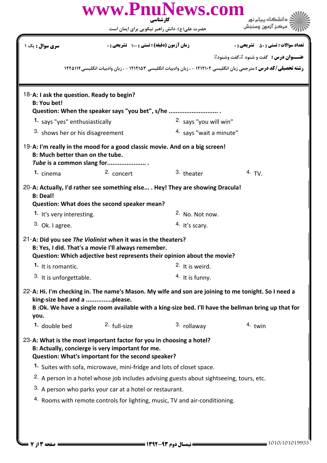|                                                                      |                                                                                                                                                                    | www.PnuNews.com<br>کارشناسی                                                                                                                                                                                                                                 | دانشگاه پیام نور                                                                                                                                                                                             |
|----------------------------------------------------------------------|--------------------------------------------------------------------------------------------------------------------------------------------------------------------|-------------------------------------------------------------------------------------------------------------------------------------------------------------------------------------------------------------------------------------------------------------|--------------------------------------------------------------------------------------------------------------------------------------------------------------------------------------------------------------|
|                                                                      |                                                                                                                                                                    | حضرت علی(ع): دانش راهبر نیکویی برای ایمان است                                                                                                                                                                                                               | مركز آزمون وسنجش                                                                                                                                                                                             |
| سری سوال : یک ۱                                                      |                                                                                                                                                                    | زمان آزمون (دقیقه) : تستی : 100 تشریحی : 0                                                                                                                                                                                                                  | <b>تعداد سوالات : تستی : 50 ٪ تشریحی : 0</b>                                                                                                                                                                 |
|                                                                      |                                                                                                                                                                    |                                                                                                                                                                                                                                                             | <b>عنــوان درس :</b> گفت و شنود 2،گفت وشنود2                                                                                                                                                                 |
|                                                                      |                                                                                                                                                                    |                                                                                                                                                                                                                                                             | <b>رشته تحصیلی/کد درس :</b> مترجمی زبان انگلیسی ۱۲۱۲۱۰۲ - ، زبان وادبیات انگلیسی ۱۲۱۲۱۵۳ - ، زبان وادبیات انگلیسی۱۲۲۵۱۱۴                                                                                     |
|                                                                      |                                                                                                                                                                    |                                                                                                                                                                                                                                                             |                                                                                                                                                                                                              |
| 18-A: I ask the question. Ready to begin?<br><b>B: You bet!</b>      |                                                                                                                                                                    | Question: When the speaker says "you bet", s/he                                                                                                                                                                                                             |                                                                                                                                                                                                              |
| 1. says "yes" enthusiastically                                       |                                                                                                                                                                    | 2. says "you will win"                                                                                                                                                                                                                                      |                                                                                                                                                                                                              |
| <sup>3.</sup> shows her or his disagreement                          |                                                                                                                                                                    | 4. says "wait a minute"                                                                                                                                                                                                                                     |                                                                                                                                                                                                              |
| B: Much better than on the tube.                                     | Tube is a common slang for                                                                                                                                         | 19-A: I'm really in the mood for a good classic movie. And on a big screen!                                                                                                                                                                                 |                                                                                                                                                                                                              |
| 1. cinema                                                            | 2. concert                                                                                                                                                         | 3. theater                                                                                                                                                                                                                                                  | 4. TV.                                                                                                                                                                                                       |
| <b>B: Deal!</b><br>1. It's very interesting.                         | Question: What does the second speaker mean?                                                                                                                       | 20-A: Actually, I'd rather see something else . Hey! They are showing Dracula!<br><sup>2</sup> No. Not now.                                                                                                                                                 |                                                                                                                                                                                                              |
| $3.$ Ok. I agree.                                                    |                                                                                                                                                                    | <sup>4.</sup> It's scary.                                                                                                                                                                                                                                   |                                                                                                                                                                                                              |
| 21-A: Did you see The Violinist when it was in the theaters?         | B: Yes, I did. That's a movie I'll always remember.                                                                                                                | Question: Which adjective best represents their opinion about the movie?                                                                                                                                                                                    |                                                                                                                                                                                                              |
| 1. It is romantic.                                                   |                                                                                                                                                                    | <sup>2.</sup> It is weird.                                                                                                                                                                                                                                  |                                                                                                                                                                                                              |
| 3. It is unforgettable.                                              |                                                                                                                                                                    | $4.$ It is funny.                                                                                                                                                                                                                                           |                                                                                                                                                                                                              |
| king-size bed and a please.<br>you.                                  |                                                                                                                                                                    |                                                                                                                                                                                                                                                             | 22-A: Hi. I'm checking in. The name's Mason. My wife and son are joining to me tonight. So I need a<br>B : Ok. We have a single room available with a king-size bed. I'll have the bellman bring up that for |
| 1. double bed                                                        | 2. full-size                                                                                                                                                       | 3. rollaway                                                                                                                                                                                                                                                 | $4.$ twin                                                                                                                                                                                                    |
| 23-A: What is the most important factor for you in choosing a hotel? | B: Actually, concierge is very important for me.<br>Question: What's important for the second speaker?<br>3. A person who parks your car at a hotel or restaurant. | 1. Suites with sofa, microwave, mini-fridge and lots of closet space.<br><sup>2.</sup> A person in a hotel whose job includes advising guests about sightseeing, tours, etc.<br>4. Rooms with remote controls for lighting, music, TV and air-conditioning. |                                                                                                                                                                                                              |
|                                                                      |                                                                                                                                                                    |                                                                                                                                                                                                                                                             |                                                                                                                                                                                                              |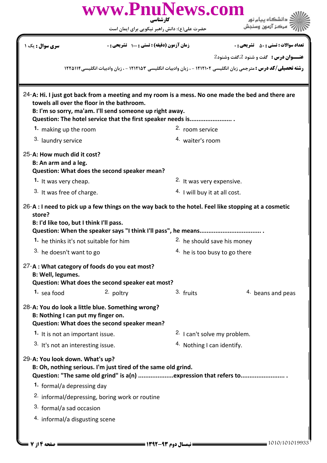|                                                                                             |                                                               | www.PnuNews.com                                                  |                                                                                                                          |
|---------------------------------------------------------------------------------------------|---------------------------------------------------------------|------------------------------------------------------------------|--------------------------------------------------------------------------------------------------------------------------|
|                                                                                             |                                                               | کارشناسی<br>حضرت علی(ع): دانش راهبر نیکویی برای ایمان است        |                                                                                                                          |
| <mark>سری سوال :</mark> یک ۱                                                                |                                                               | زمان آزمون (دقیقه) : تستی : 100 تشریحی : 0                       | <b>تعداد سوالات : تستی : 50 ٪ تشریحی : 0</b>                                                                             |
|                                                                                             |                                                               |                                                                  | <b>عنــوان درس :</b> گفت و شنود 2،گفت وشنود2                                                                             |
|                                                                                             |                                                               |                                                                  | <b>رشته تحصیلی/کد درس :</b> مترجمی زبان انگلیسی ۱۲۱۲۱۰۲ - ، زبان وادبیات انگلیسی ۱۲۱۲۱۵۳ - ، زبان وادبیات انگلیسی۱۲۲۵۱۱۴ |
| towels all over the floor in the bathroom.                                                  | B: I'm so sorry, ma'am. I'll send someone up right away.      | Question: The hotel service that the first speaker needs is      | 24-A: Hi. I just got back from a meeting and my room is a mess. No one made the bed and there are                        |
| 1. making up the room                                                                       |                                                               | 2. room service                                                  |                                                                                                                          |
| 3. laundry service                                                                          |                                                               | <sup>4.</sup> waiter's room                                      |                                                                                                                          |
| 25-A: How much did it cost?<br>B: An arm and a leg.                                         | Question: What does the second speaker mean?                  |                                                                  |                                                                                                                          |
| 1. It was very cheap.                                                                       |                                                               | 2. It was very expensive.                                        |                                                                                                                          |
| 3. It was free of charge.                                                                   |                                                               | <sup>4.</sup> I will buy it at all cost.                         |                                                                                                                          |
| store?<br>B: I'd like too, but I think I'll pass.<br>1. he thinks it's not suitable for him |                                                               | <sup>2</sup> he should save his money                            | $26-A$ : I need to pick up a few things on the way back to the hotel. Feel like stopping at a cosmetic                   |
| 3. he doesn't want to go                                                                    |                                                               | $4.$ he is too busy to go there                                  |                                                                                                                          |
| 27-A : What category of foods do you eat most?<br><b>B: Well, legumes.</b>                  | Question: What does the second speaker eat most?              |                                                                  |                                                                                                                          |
| 1. sea food                                                                                 | 2. poltry                                                     | 3. fruits                                                        | <sup>4.</sup> beans and peas                                                                                             |
| 28-A: You do look a little blue. Something wrong?<br>B: Nothing I can put my finger on.     | Question: What does the second speaker mean?                  |                                                                  |                                                                                                                          |
| 1. It is not an important issue.                                                            |                                                               | <sup>2.</sup> I can't solve my problem.                          |                                                                                                                          |
| 3. It's not an interesting issue.                                                           |                                                               | <sup>4.</sup> Nothing I can identify.                            |                                                                                                                          |
| 29-A: You look down. What's up?                                                             | B: Oh, nothing serious. I'm just tired of the same old grind. | Question: "The same old grind" is a(n) expression that refers to |                                                                                                                          |
| 1. formal/a depressing day                                                                  |                                                               |                                                                  |                                                                                                                          |
|                                                                                             | <sup>2.</sup> informal/depressing, boring work or routine     |                                                                  |                                                                                                                          |
| 3. formal/a sad occasion                                                                    |                                                               |                                                                  |                                                                                                                          |
| <sup>4.</sup> informal/a disgusting scene                                                   |                                                               |                                                                  |                                                                                                                          |
|                                                                                             |                                                               |                                                                  |                                                                                                                          |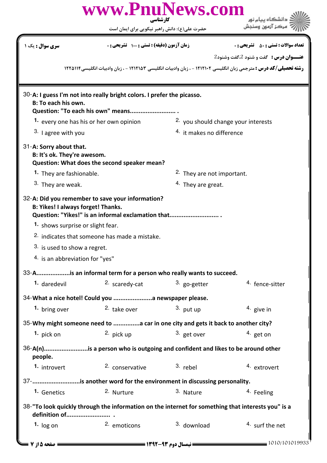|                                                                                          | www.PnuNews.com<br>کار شناسی                                                                                |                                      | دانشگاه پیام نور                                                                                                         |
|------------------------------------------------------------------------------------------|-------------------------------------------------------------------------------------------------------------|--------------------------------------|--------------------------------------------------------------------------------------------------------------------------|
|                                                                                          | حضرت علی(ع): دانش راهبر نیکویی برای ایمان است                                                               |                                      |                                                                                                                          |
| <b>سری سوال :</b> یک ۱                                                                   | زمان آزمون (دقیقه) : تستی : 100 تشریحی : 0                                                                  |                                      | <b>تعداد سوالات : تستی : 50 ٪ تشریحی : 0</b>                                                                             |
|                                                                                          |                                                                                                             |                                      | <b>عنــوان درس :</b> گفت و شنود 2،گفت وشنود2                                                                             |
|                                                                                          |                                                                                                             |                                      | <b>رشته تحصیلی/کد درس :</b> مترجمی زبان انگلیسی ۱۲۱۲۱۰۲ - ، زبان وادبیات انگلیسی ۱۲۱۲۱۵۳ - ، زبان وادبیات انگلیسی۱۲۲۵۱۱۴ |
| <b>B: To each his own.</b>                                                               | 30-A: I guess I'm not into really bright colors. I prefer the picasso.<br>Question: "To each his own" means |                                      |                                                                                                                          |
|                                                                                          | 1. every one has his or her own opinion                                                                     | 2. you should change your interests  |                                                                                                                          |
| 3. I agree with you                                                                      |                                                                                                             | <sup>4.</sup> it makes no difference |                                                                                                                          |
| 31-A: Sorry about that.<br>B: It's ok. They're awesom.                                   | Question: What does the second speaker mean?                                                                |                                      |                                                                                                                          |
| 1. They are fashionable.                                                                 |                                                                                                             | 2. They are not important.           |                                                                                                                          |
| 3. They are weak.                                                                        |                                                                                                             | <sup>4.</sup> They are great.        |                                                                                                                          |
| B: Yikes! I always forget! Thanks.                                                       | 32-A: Did you remember to save your information?<br>Question: "Yikes!" is an informal exclamation that      |                                      |                                                                                                                          |
| 1. shows surprise or slight fear.                                                        |                                                                                                             |                                      |                                                                                                                          |
|                                                                                          | 2. indicates that someone has made a mistake.                                                               |                                      |                                                                                                                          |
| 3. is used to show a regret.                                                             |                                                                                                             |                                      |                                                                                                                          |
| <sup>4.</sup> is an abbreviation for "yes"                                               |                                                                                                             |                                      |                                                                                                                          |
|                                                                                          | 33-Ais an informal term for a person who really wants to succeed.                                           |                                      |                                                                                                                          |
| 1. daredevil                                                                             | 2. scaredy-cat                                                                                              | $3.$ go-getter                       | <sup>4.</sup> fence-sitter                                                                                               |
|                                                                                          | 34-What a nice hotel! Could you  a newspaper please.                                                        |                                      |                                                                                                                          |
| 1. bring over                                                                            | <sup>2</sup> take over                                                                                      | 3. put up                            | $4.$ give in                                                                                                             |
| 35-Why might someone need to a car in one city and gets it back to another city?         |                                                                                                             |                                      |                                                                                                                          |
| 1. pick on                                                                               | 2. pick up                                                                                                  | 3. get over                          | 4. get on                                                                                                                |
| 36-A(n)is a person who is outgoing and confident and likes to be around other<br>people. |                                                                                                             |                                      |                                                                                                                          |
| 1. introvert                                                                             | <sup>2</sup> conservative <sup>3</sup> rebel                                                                |                                      | 4. extrovert                                                                                                             |
| 37-is another word for the environment in discussing personality.                        |                                                                                                             |                                      |                                                                                                                          |
| 1. Genetics                                                                              | 2. Nurture                                                                                                  | 3. Nature                            | <sup>4.</sup> Feeling                                                                                                    |
|                                                                                          | 38-"To look quickly through the information on the internet for something that interests you" is a          |                                      |                                                                                                                          |
| 1. $log on$                                                                              | <sup>2.</sup> emoticons                                                                                     | <sup>3.</sup> download               | 4. surf the net                                                                                                          |
| = صفحه ۱۵ از ۷ <del>-</del>                                                              |                                                                                                             |                                      | $-1010/101019933$                                                                                                        |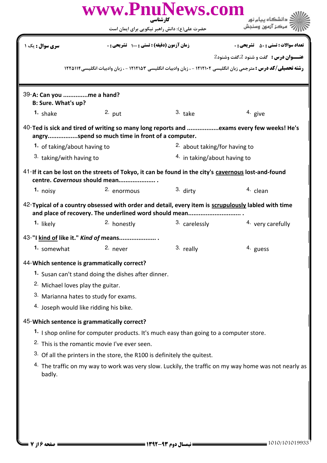|                                                                                                                                       | www.PnuNews.com                                                                                                                                               | کارشناسی                                      | دانشگاه پیام نور                                                                                                         |  |
|---------------------------------------------------------------------------------------------------------------------------------------|---------------------------------------------------------------------------------------------------------------------------------------------------------------|-----------------------------------------------|--------------------------------------------------------------------------------------------------------------------------|--|
|                                                                                                                                       |                                                                                                                                                               | حضرت علی(ع): دانش راهبر نیکویی برای ایمان است |                                                                                                                          |  |
| <b>سری سوال :</b> یک ۱                                                                                                                | زمان آزمون (دقیقه) : تستی : 100 تشریحی : 0                                                                                                                    |                                               | <b>تعداد سوالات : تستی : 50 ٪ تشریحی : 0</b>                                                                             |  |
|                                                                                                                                       |                                                                                                                                                               |                                               | <b>عنــوان درس :</b> گفت و شنود 2،گفت وشنود2                                                                             |  |
|                                                                                                                                       |                                                                                                                                                               |                                               | <b>رشته تحصیلی/کد درس :</b> مترجمی زبان انگلیسی ۱۲۱۲۱۰۲ - ، زبان وادبیات انگلیسی ۱۲۱۲۱۵۳ - ، زبان وادبیات انگلیسی۱۲۲۵۱۱۴ |  |
|                                                                                                                                       |                                                                                                                                                               |                                               |                                                                                                                          |  |
| 39-A: Can you me a hand?<br>B: Sure. What's up?                                                                                       |                                                                                                                                                               |                                               |                                                                                                                          |  |
| 1. shake                                                                                                                              | $2.$ put                                                                                                                                                      | $3.$ take                                     | 4. give                                                                                                                  |  |
|                                                                                                                                       | angryspend so much time in front of a computer.                                                                                                               |                                               | 40-Ted is sick and tired of writing so many long reports and exams every few weeks! He's                                 |  |
| 1. of taking/about having to                                                                                                          |                                                                                                                                                               |                                               | <sup>2</sup> about taking/for having to                                                                                  |  |
| <sup>3.</sup> taking/with having to                                                                                                   |                                                                                                                                                               | $4.$ in taking/about having to                |                                                                                                                          |  |
| 41-If it can be lost on the streets of Tokyo, it can be found in the city's cavernous lost-and-found<br>centre. Cavernous should mean |                                                                                                                                                               |                                               |                                                                                                                          |  |
| 1. noisy                                                                                                                              | 2. enormous                                                                                                                                                   | $3.$ dirty                                    | <sup>4.</sup> clean                                                                                                      |  |
|                                                                                                                                       | 42-Typical of a country obsessed with order and detail, every item is scrupulously labled with time<br>and place of recovery. The underlined word should mean |                                               |                                                                                                                          |  |
| 1. likely                                                                                                                             | <sup>2.</sup> honestly                                                                                                                                        | <sup>3.</sup> carelessly                      | 4. very carefully                                                                                                        |  |
|                                                                                                                                       | 43-"I kind of like it." Kind of means                                                                                                                         |                                               |                                                                                                                          |  |
| 1. somewhat                                                                                                                           | 2. never                                                                                                                                                      | 3. really                                     | 4. guess                                                                                                                 |  |
| 44-Which sentence is grammatically correct?                                                                                           |                                                                                                                                                               |                                               |                                                                                                                          |  |
|                                                                                                                                       | 1. Susan can't stand doing the dishes after dinner.                                                                                                           |                                               |                                                                                                                          |  |
| <sup>2.</sup> Michael loves play the guitar.                                                                                          |                                                                                                                                                               |                                               |                                                                                                                          |  |
| 3. Marianna hates to study for exams.                                                                                                 |                                                                                                                                                               |                                               |                                                                                                                          |  |
| <sup>4.</sup> Joseph would like ridding his bike.                                                                                     |                                                                                                                                                               |                                               |                                                                                                                          |  |
| 45-Which sentence is grammatically correct?                                                                                           |                                                                                                                                                               |                                               |                                                                                                                          |  |
|                                                                                                                                       | 1. I shop online for computer products. It's much easy than going to a computer store.                                                                        |                                               |                                                                                                                          |  |
|                                                                                                                                       | <sup>2.</sup> This is the romantic movie I've ever seen.                                                                                                      |                                               |                                                                                                                          |  |
|                                                                                                                                       | $3.$ Of all the printers in the store, the R100 is definitely the quitest.                                                                                    |                                               |                                                                                                                          |  |
| 4. The traffic on my way to work was very slow. Luckily, the traffic on my way home was not nearly as<br>badly.                       |                                                                                                                                                               |                                               |                                                                                                                          |  |
|                                                                                                                                       |                                                                                                                                                               |                                               |                                                                                                                          |  |
|                                                                                                                                       |                                                                                                                                                               |                                               |                                                                                                                          |  |
|                                                                                                                                       |                                                                                                                                                               |                                               |                                                                                                                          |  |
|                                                                                                                                       |                                                                                                                                                               |                                               |                                                                                                                          |  |
|                                                                                                                                       |                                                                                                                                                               |                                               |                                                                                                                          |  |